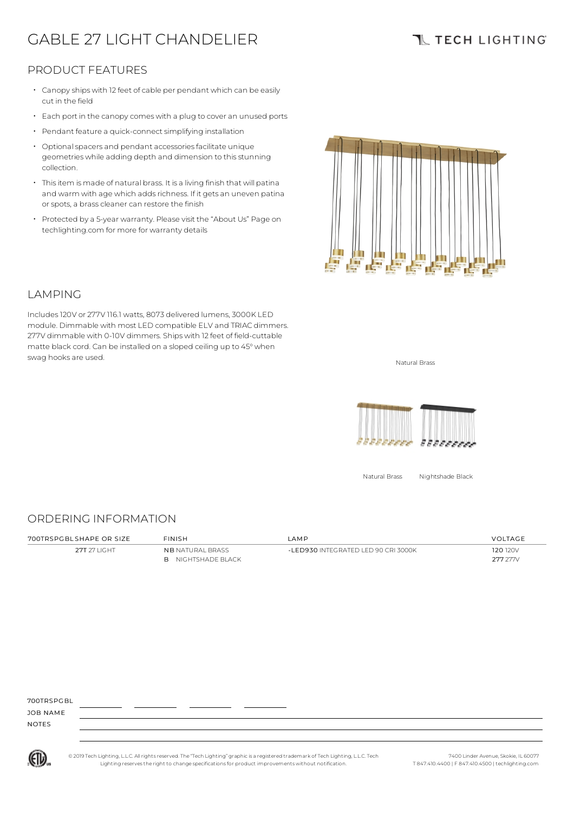# GABLE 27 LIGHT CHANDELIER

# **TL TECH LIGHTING**

### PRODUCT FEATURES

- Canopy ships with 12 feet of cable per pendant which can be easily cut in the field
- Each port in the canopycomes with <sup>a</sup> plug to cover an unused ports
- Pendant feature a quick-connect simplifying installation
- Optional spacers and pendant accessories facilitate unique geometries while adding depth and dimension to thisstunning collection.
- Thisitem is made of natural brass. It is a living finish that will patina and warm with age which adds richness. If it gets an uneven patina or spots, a brass cleaner can restore the finish
- Protected by a 5-year warranty. Please visit the "About Us" Page on techlighting.com for more for warranty details



### LAMPING

Includes120V or 277V 116.1 watts, 8073 delivered lumens, 3000K LED module. Dimmable with most LED compatible ELV and TRIAC dimmers. 277V dimmable with 0-10V dimmers. Ships with 12 feet of field-cuttable matte black cord. Can be installed on a sloped ceiling up to 45°when swag hooks are used. Natural Brass and the state of the state of the state of the state of the state of the state of the state of the state of the state of the state of the state of the state of the state of the state of t



Natural Brass Nightshade Black

#### ORDERING INFORMATION

| 700TRSPGBI SHAPF OR SIZF | <b>FINISH</b>           | I AMP                               | VOLTAGE  |
|--------------------------|-------------------------|-------------------------------------|----------|
| 27T 27 LIGHT             | <b>NB</b> NATURAL BRASS | -LED930 INTEGRATED LED 90 CRI 3000K | 120 120V |
|                          | NIGHTSHADE BLACK<br>R.  |                                     | 277 277V |

700TDSPCBL

JOB NAME NOTES



© 2019 Tech Lighting, L.L.C. All rightsreserved. The "Tech Lighting" graphicis a registered trademark of Tech Lighting, L.L.C. Tech Lighting reservesthe right to change specificationsfor product improvements without notification.

7400 Linder Avenue, Skokie, IL 60077 T 847.410.4400 | F 847.410.4500 | techlighting.com